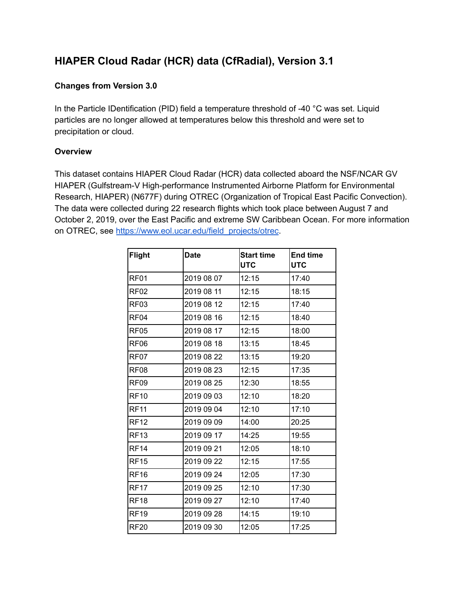# **HIAPER Cloud Radar (HCR) data (CfRadial), Version 3.1**

# **Changes from Version 3.0**

In the Particle IDentification (PID) field a temperature threshold of -40 °C was set. Liquid particles are no longer allowed at temperatures below this threshold and were set to precipitation or cloud.

# **Overview**

This dataset contains HIAPER Cloud Radar (HCR) data collected aboard the NSF/NCAR GV HIAPER (Gulfstream-V High-performance Instrumented Airborne Platform for Environmental Research, HIAPER) (N677F) during OTREC (Organization of Tropical East Pacific Convection). The data were collected during 22 research flights which took place between August 7 and October 2, 2019, over the East Pacific and extreme SW Caribbean Ocean. For more information on OTREC, see [https://www.eol.ucar.edu/field\\_projects/otrec](https://www.eol.ucar.edu/field_projects/otrec).

| <b>Flight</b>    | <b>Date</b> | <b>Start time</b><br><b>UTC</b> | <b>End time</b><br><b>UTC</b> |
|------------------|-------------|---------------------------------|-------------------------------|
| RF <sub>01</sub> | 2019 08 07  | 12:15                           | 17:40                         |
| RF <sub>02</sub> | 2019 08 11  | 12:15                           | 18:15                         |
| RF <sub>03</sub> | 2019 08 12  | 12:15                           | 17:40                         |
| RF <sub>04</sub> | 2019 08 16  | 12:15                           | 18:40                         |
| RF <sub>05</sub> | 2019 08 17  | 12:15                           | 18:00                         |
| RF <sub>06</sub> | 2019 08 18  | 13:15                           | 18:45                         |
| RF07             | 2019 08 22  | 13:15                           | 19:20                         |
| RF08             | 2019 08 23  | 12:15                           | 17:35                         |
| RF <sub>09</sub> | 2019 08 25  | 12:30                           | 18:55                         |
| <b>RF10</b>      | 2019 09 03  | 12:10                           | 18:20                         |
| <b>RF11</b>      | 2019 09 04  | 12:10                           | 17:10                         |
| <b>RF12</b>      | 2019 09 09  | 14:00                           | 20:25                         |
| <b>RF13</b>      | 2019 09 17  | 14:25                           | 19:55                         |
| <b>RF14</b>      | 2019 09 21  | 12:05                           | 18:10                         |
| <b>RF15</b>      | 2019 09 22  | 12:15                           | 17:55                         |
| <b>RF16</b>      | 2019 09 24  | 12:05                           | 17:30                         |
| <b>RF17</b>      | 2019 09 25  | 12:10                           | 17:30                         |
| <b>RF18</b>      | 2019 09 27  | 12:10                           | 17:40                         |
| <b>RF19</b>      | 2019 09 28  | 14:15                           | 19:10                         |
| <b>RF20</b>      | 2019 09 30  | 12:05                           | 17:25                         |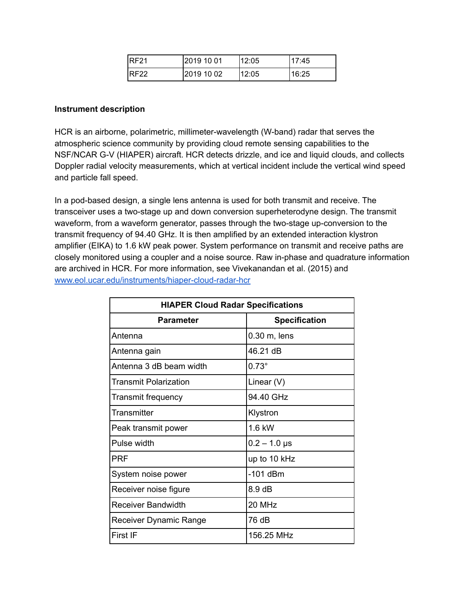| <b>IRF21</b> | l2019 10 01 | 12:05 | 17:45 |
|--------------|-------------|-------|-------|
| <b>IRF22</b> | 2019 10 02  | 12:05 | 16:25 |

#### **Instrument description**

HCR is an airborne, polarimetric, millimeter-wavelength (W-band) radar that serves the atmospheric science community by providing cloud remote sensing capabilities to the NSF/NCAR G-V (HIAPER) aircraft. HCR detects drizzle, and ice and liquid clouds, and collects Doppler radial velocity measurements, which at vertical incident include the vertical wind speed and particle fall speed.

In a pod-based design, a single lens antenna is used for both transmit and receive. The transceiver uses a two-stage up and down conversion superheterodyne design. The transmit waveform, from a waveform generator, passes through the two-stage up-conversion to the transmit frequency of 94.40 GHz. It is then amplified by an extended interaction klystron amplifier (EIKA) to 1.6 kW peak power. System performance on transmit and receive paths are closely monitored using a coupler and a noise source. Raw in-phase and quadrature information are archived in HCR. For more information, see Vivekanandan et al. (2015) and [www.eol.ucar.edu/instruments/hiaper-cloud-radar-hcr](http://www.eol.ucar.edu/instruments/hiaper-cloud-radar-hcr)

| <b>HIAPER Cloud Radar Specifications</b> |                      |  |
|------------------------------------------|----------------------|--|
| <b>Parameter</b>                         | <b>Specification</b> |  |
| Antenna                                  | $0.30$ m, lens       |  |
| Antenna gain                             | 46.21 dB             |  |
| Antenna 3 dB beam width                  | $0.73^\circ$         |  |
| <b>Transmit Polarization</b>             | Linear $(V)$         |  |
| Transmit frequency                       | 94.40 GHz            |  |
| Transmitter                              | Klystron             |  |
| Peak transmit power                      | 1.6 kW               |  |
| Pulse width                              | $0.2 - 1.0$ µs       |  |
| <b>PRF</b>                               | up to 10 kHz         |  |
| System noise power                       | $-101$ dBm           |  |
| Receiver noise figure                    | $8.9$ dB             |  |
| <b>Receiver Bandwidth</b>                | 20 MHz               |  |
| Receiver Dynamic Range                   | 76 dB                |  |
| First IF                                 | 156.25 MHz           |  |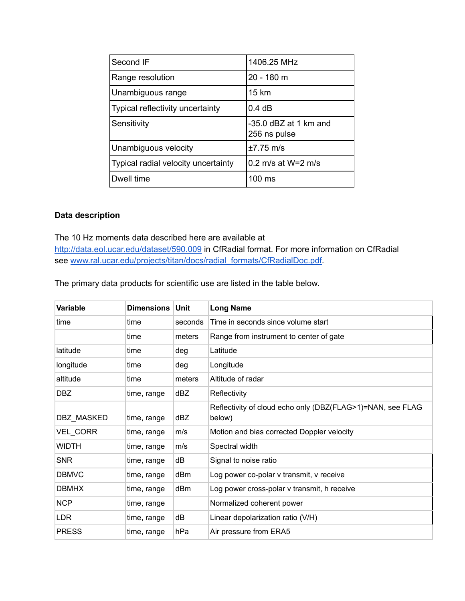| Second IF                           | 1406.25 MHz                           |
|-------------------------------------|---------------------------------------|
| Range resolution                    | 20 - 180 m                            |
| Unambiguous range                   | 15 km                                 |
| Typical reflectivity uncertainty    | 0.4 dB                                |
| Sensitivity                         | -35.0 dBZ at 1 km and<br>256 ns pulse |
| Unambiguous velocity                | $±7.75$ m/s                           |
| Typical radial velocity uncertainty | $0.2$ m/s at W=2 m/s                  |
| Dwell time                          | 100 ms                                |

# **Data description**

#### The 10 Hz moments data described here are available at

<http://data.eol.ucar.edu/dataset/590.009> in CfRadial format. For more information on CfRadial see [www.ral.ucar.edu/projects/titan/docs/radial\\_formats/CfRadialDoc.pdf.](http://www.ral.ucar.edu/projects/titan/docs/radial_formats/CfRadialDoc.pdf)

The primary data products for scientific use are listed in the table below.

| Variable        | <b>Dimensions</b> | <b>Unit</b> | <b>Long Name</b>                                                     |
|-----------------|-------------------|-------------|----------------------------------------------------------------------|
| time            | time              | seconds     | Time in seconds since volume start                                   |
|                 | time              | meters      | Range from instrument to center of gate                              |
| latitude        | time              | deg         | Latitude                                                             |
| longitude       | time              | deg         | Longitude                                                            |
| altitude        | time              | meters      | Altitude of radar                                                    |
| DBZ.            | time, range       | dBZ         | Reflectivity                                                         |
| DBZ MASKED      | time, range       | dBZ         | Reflectivity of cloud echo only (DBZ(FLAG>1)=NAN, see FLAG<br>below) |
| <b>VEL CORR</b> | time, range       | m/s         | Motion and bias corrected Doppler velocity                           |
| <b>WIDTH</b>    | time, range       | m/s         | Spectral width                                                       |
| <b>SNR</b>      | time, range       | dB          | Signal to noise ratio                                                |
| <b>DBMVC</b>    | time, range       | dBm         | Log power co-polar v transmit, v receive                             |
| <b>DBMHX</b>    | time, range       | dBm         | Log power cross-polar v transmit, h receive                          |
| <b>NCP</b>      | time, range       |             | Normalized coherent power                                            |
| <b>LDR</b>      | time, range       | dB          | Linear depolarization ratio (V/H)                                    |
| <b>PRESS</b>    | time, range       | hPa         | Air pressure from ERA5                                               |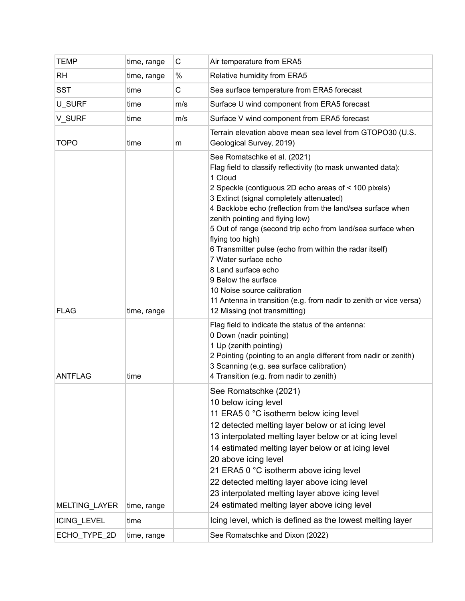| <b>TEMP</b>    | time, range | C           | Air temperature from ERA5                                                                                                                                                                                                                                                                                                                                                                                                                                                                                                                                                                                                                                              |
|----------------|-------------|-------------|------------------------------------------------------------------------------------------------------------------------------------------------------------------------------------------------------------------------------------------------------------------------------------------------------------------------------------------------------------------------------------------------------------------------------------------------------------------------------------------------------------------------------------------------------------------------------------------------------------------------------------------------------------------------|
| <b>RH</b>      | time, range | $\%$        | Relative humidity from ERA5                                                                                                                                                                                                                                                                                                                                                                                                                                                                                                                                                                                                                                            |
| <b>SST</b>     | time        | $\mathsf C$ | Sea surface temperature from ERA5 forecast                                                                                                                                                                                                                                                                                                                                                                                                                                                                                                                                                                                                                             |
| U SURF         | time        | m/s         | Surface U wind component from ERA5 forecast                                                                                                                                                                                                                                                                                                                                                                                                                                                                                                                                                                                                                            |
| V SURF         | time        | m/s         | Surface V wind component from ERA5 forecast                                                                                                                                                                                                                                                                                                                                                                                                                                                                                                                                                                                                                            |
| <b>TOPO</b>    | time        | m           | Terrain elevation above mean sea level from GTOPO30 (U.S.<br>Geological Survey, 2019)                                                                                                                                                                                                                                                                                                                                                                                                                                                                                                                                                                                  |
| <b>FLAG</b>    | time, range |             | See Romatschke et al. (2021)<br>Flag field to classify reflectivity (to mask unwanted data):<br>1 Cloud<br>2 Speckle (contiguous 2D echo areas of < 100 pixels)<br>3 Extinct (signal completely attenuated)<br>4 Backlobe echo (reflection from the land/sea surface when<br>zenith pointing and flying low)<br>5 Out of range (second trip echo from land/sea surface when<br>flying too high)<br>6 Transmitter pulse (echo from within the radar itself)<br>7 Water surface echo<br>8 Land surface echo<br>9 Below the surface<br>10 Noise source calibration<br>11 Antenna in transition (e.g. from nadir to zenith or vice versa)<br>12 Missing (not transmitting) |
| <b>ANTFLAG</b> | time        |             | Flag field to indicate the status of the antenna:<br>0 Down (nadir pointing)<br>1 Up (zenith pointing)<br>2 Pointing (pointing to an angle different from nadir or zenith)<br>3 Scanning (e.g. sea surface calibration)<br>4 Transition (e.g. from nadir to zenith)                                                                                                                                                                                                                                                                                                                                                                                                    |
| MELTING_LAYER  | time, range |             | See Romatschke (2021)<br>10 below icing level<br>11 ERA5 0 °C isotherm below icing level<br>12 detected melting layer below or at icing level<br>13 interpolated melting layer below or at icing level<br>14 estimated melting layer below or at icing level<br>20 above icing level<br>21 ERA5 0 °C isotherm above icing level<br>22 detected melting layer above icing level<br>23 interpolated melting layer above icing level<br>24 estimated melting layer above icing level                                                                                                                                                                                      |
| ICING_LEVEL    | time        |             | Icing level, which is defined as the lowest melting layer                                                                                                                                                                                                                                                                                                                                                                                                                                                                                                                                                                                                              |
| ECHO_TYPE_2D   | time, range |             | See Romatschke and Dixon (2022)                                                                                                                                                                                                                                                                                                                                                                                                                                                                                                                                                                                                                                        |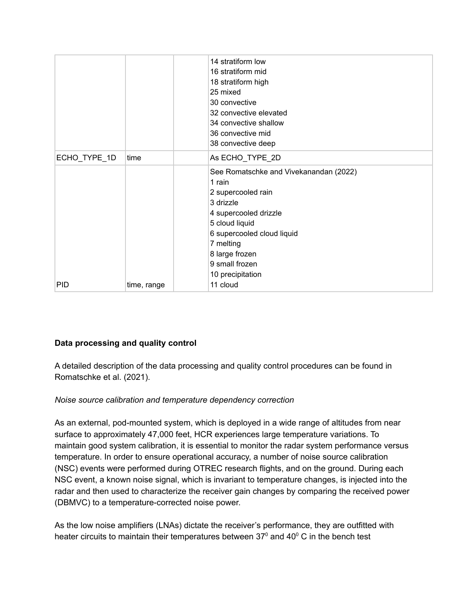|              |             | 18 stratiform high<br>25 mixed<br>30 convective<br>32 convective elevated<br>34 convective shallow<br>36 convective mid<br>38 convective deep                                                                                                 |
|--------------|-------------|-----------------------------------------------------------------------------------------------------------------------------------------------------------------------------------------------------------------------------------------------|
| ECHO_TYPE_1D | time        | As ECHO_TYPE_2D                                                                                                                                                                                                                               |
| PID          | time, range | See Romatschke and Vivekanandan (2022)<br>1 rain<br>2 supercooled rain<br>3 drizzle<br>4 supercooled drizzle<br>5 cloud liquid<br>6 supercooled cloud liquid<br>7 melting<br>8 large frozen<br>9 small frozen<br>10 precipitation<br>11 cloud |

# **Data processing and quality control**

A detailed description of the data processing and quality control procedures can be found in Romatschke et al. (2021).

# *Noise source calibration and temperature dependency correction*

As an external, pod-mounted system, which is deployed in a wide range of altitudes from near surface to approximately 47,000 feet, HCR experiences large temperature variations. To maintain good system calibration, it is essential to monitor the radar system performance versus temperature. In order to ensure operational accuracy, a number of noise source calibration (NSC) events were performed during OTREC research flights, and on the ground. During each NSC event, a known noise signal, which is invariant to temperature changes, is injected into the radar and then used to characterize the receiver gain changes by comparing the received power (DBMVC) to a temperature-corrected noise power.

As the low noise amplifiers (LNAs) dictate the receiver's performance, they are outfitted with heater circuits to maintain their temperatures between 37<sup>0</sup> and 40<sup>0</sup> C in the bench test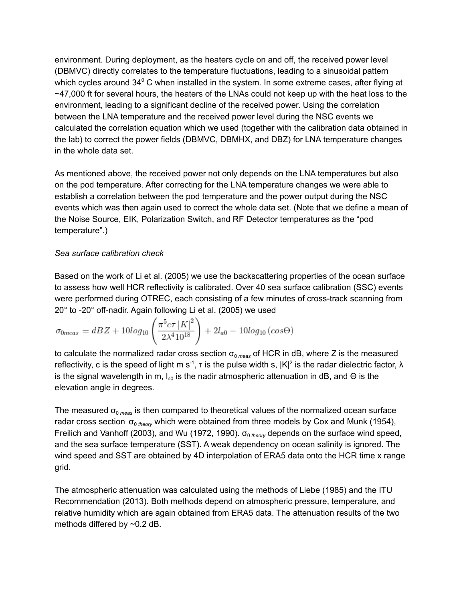environment. During deployment, as the heaters cycle on and off, the received power level (DBMVC) directly correlates to the temperature fluctuations, leading to a sinusoidal pattern which cycles around 34<sup>0</sup> C when installed in the system. In some extreme cases, after flying at ~47,000 ft for several hours, the heaters of the LNAs could not keep up with the heat loss to the environment, leading to a significant decline of the received power. Using the correlation between the LNA temperature and the received power level during the NSC events we calculated the correlation equation which we used (together with the calibration data obtained in the lab) to correct the power fields (DBMVC, DBMHX, and DBZ) for LNA temperature changes in the whole data set.

As mentioned above, the received power not only depends on the LNA temperatures but also on the pod temperature. After correcting for the LNA temperature changes we were able to establish a correlation between the pod temperature and the power output during the NSC events which was then again used to correct the whole data set. (Note that we define a mean of the Noise Source, EIK, Polarization Switch, and RF Detector temperatures as the "pod temperature".)

## *Sea surface calibration check*

Based on the work of Li et al. (2005) we use the backscattering properties of the ocean surface to assess how well HCR reflectivity is calibrated. Over 40 sea surface calibration (SSC) events were performed during OTREC, each consisting of a few minutes of cross-track scanning from 20° to -20° off-nadir. Again following Li et al. (2005) we used

$$
\sigma_{0meas} = dBZ + 10\log_{10}\left(\frac{\pi^5 c \tau |K|^2}{2\lambda^4 10^{18}}\right) + 2l_{a0} - 10\log_{10}\left(\cos\Theta\right)
$$

to calculate the normalized radar cross section  $\sigma_{0 \text{ meas}}$  of HCR in dB, where Z is the measured reflectivity, c is the speed of light m s<sup>-1</sup>, t is the pulse width s,  $|K|^2$  is the radar dielectric factor,  $\lambda$ is the signal wavelength in m, l<sub>a0</sub> is the nadir atmospheric attenuation in dB, and Θ is the elevation angle in degrees.

The measured  $\sigma_{\text{o} \, \text{meas}}$  is then compared to theoretical values of the normalized ocean surface radar cross section σ<sub>0 theory</sub> which were obtained from three models by Cox and Munk (1954), Freilich and Vanhoff (2003), and Wu (1972, 1990).  $\sigma_{0 \text{ theory}}$  depends on the surface wind speed, and the sea surface temperature (SST). A weak dependency on ocean salinity is ignored. The wind speed and SST are obtained by 4D interpolation of ERA5 data onto the HCR time x range grid.

The atmospheric attenuation was calculated using the methods of Liebe (1985) and the ITU Recommendation (2013). Both methods depend on atmospheric pressure, temperature, and relative humidity which are again obtained from ERA5 data. The attenuation results of the two methods differed by ~0.2 dB.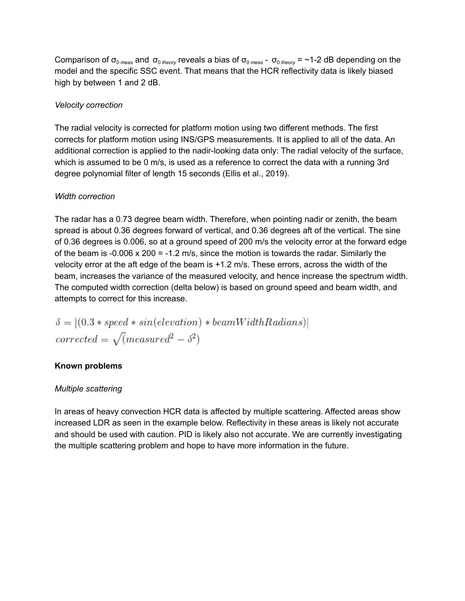Comparison of  $\sigma_0$ <sub>meas</sub> and  $\sigma_0$ <sub>theory</sub> reveals a bias of  $\sigma_0$ <sub>meas</sub> -  $\sigma_0$ <sub>theory</sub> = ~1-2 dB depending on the model and the specific SSC event. That means that the HCR reflectivity data is likely biased high by between 1 and 2 dB.

## *Velocity correction*

The radial velocity is corrected for platform motion using two different methods. The first corrects for platform motion using INS/GPS measurements. It is applied to all of the data. An additional correction is applied to the nadir-looking data only: The radial velocity of the surface, which is assumed to be 0 m/s, is used as a reference to correct the data with a running 3rd degree polynomial filter of length 15 seconds (Ellis et al., 2019).

## *Width correction*

The radar has a 0.73 degree beam width. Therefore, when pointing nadir or zenith, the beam spread is about 0.36 degrees forward of vertical, and 0.36 degrees aft of the vertical. The sine of 0.36 degrees is 0.006, so at a ground speed of 200 m/s the velocity error at the forward edge of the beam is -0.006  $\times$  200 = -1.2 m/s, since the motion is towards the radar. Similarly the velocity error at the aft edge of the beam is +1.2 m/s. These errors, across the width of the beam, increases the variance of the measured velocity, and hence increase the spectrum width. The computed width correction (delta below) is based on ground speed and beam width, and attempts to correct for this increase.

 $\delta = |(0.3 * speed * sin(elevation) * beamWidthRadius)|$ corrected =  $\sqrt{m}$ easured<sup>2</sup> -  $\delta^2$ )

#### **Known problems**

#### *Multiple scattering*

In areas of heavy convection HCR data is affected by multiple scattering. Affected areas show increased LDR as seen in the example below. Reflectivity in these areas is likely not accurate and should be used with caution. PID is likely also not accurate. We are currently investigating the multiple scattering problem and hope to have more information in the future.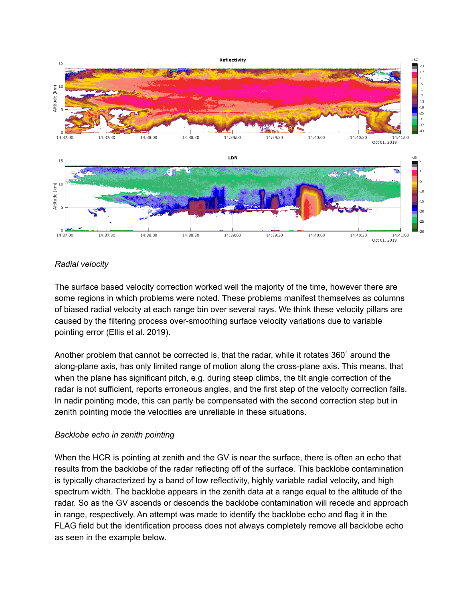

## *Radial velocity*

The surface based velocity correction worked well the majority of the time, however there are some regions in which problems were noted. These problems manifest themselves as columns of biased radial velocity at each range bin over several rays. We think these velocity pillars are caused by the filtering process over-smoothing surface velocity variations due to variable pointing error (Ellis et al. 2019).

Another problem that cannot be corrected is, that the radar, while it rotates 360˚ around the along-plane axis, has only limited range of motion along the cross-plane axis. This means, that when the plane has significant pitch, e.g. during steep climbs, the tilt angle correction of the radar is not sufficient, reports erroneous angles, and the first step of the velocity correction fails. In nadir pointing mode, this can partly be compensated with the second correction step but in zenith pointing mode the velocities are unreliable in these situations.

#### *Backlobe echo in zenith pointing*

When the HCR is pointing at zenith and the GV is near the surface, there is often an echo that results from the backlobe of the radar reflecting off of the surface. This backlobe contamination is typically characterized by a band of low reflectivity, highly variable radial velocity, and high spectrum width. The backlobe appears in the zenith data at a range equal to the altitude of the radar. So as the GV ascends or descends the backlobe contamination will recede and approach in range, respectively. An attempt was made to identify the backlobe echo and flag it in the FLAG field but the identification process does not always completely remove all backlobe echo as seen in the example below.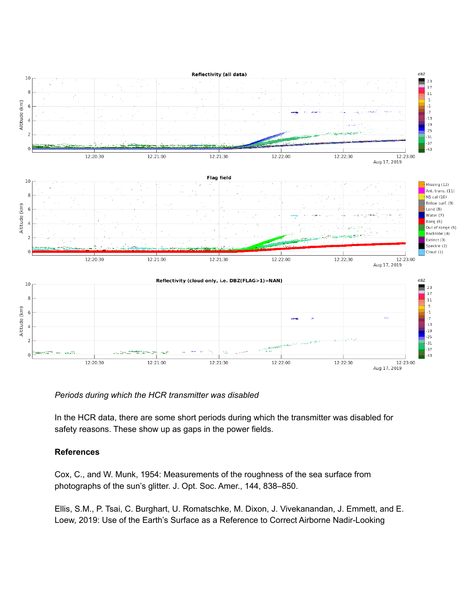

#### *Periods during which the HCR transmitter was disabled*

In the HCR data, there are some short periods during which the transmitter was disabled for safety reasons. These show up as gaps in the power fields.

#### **References**

Cox, C., and W. Munk, 1954: Measurements of the roughness of the sea surface from photographs of the sun's glitter. J. Opt. Soc. Amer., 144, 838–850.

Ellis, S.M., P. Tsai, C. Burghart, U. Romatschke, M. Dixon, J. Vivekanandan, J. Emmett, and E. Loew, 2019: Use of the Earth's Surface as a Reference to Correct Airborne Nadir-Looking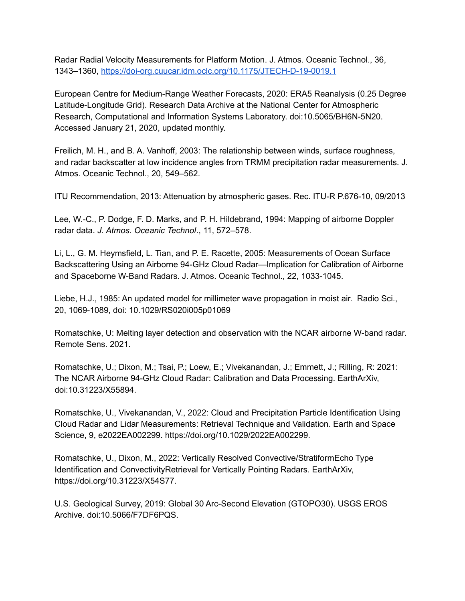Radar Radial Velocity Measurements for Platform Motion. J. Atmos. Oceanic Technol., 36, 1343–1360, <https://doi-org.cuucar.idm.oclc.org/10.1175/JTECH-D-19-0019.1>

European Centre for Medium-Range Weather Forecasts, 2020: ERA5 Reanalysis (0.25 Degree Latitude-Longitude Grid). Research Data Archive at the National Center for Atmospheric Research, Computational and Information Systems Laboratory. doi:10.5065/BH6N-5N20. Accessed January 21, 2020, updated monthly.

Freilich, M. H., and B. A. Vanhoff, 2003: The relationship between winds, surface roughness, and radar backscatter at low incidence angles from TRMM precipitation radar measurements. J. Atmos. Oceanic Technol., 20, 549–562.

ITU Recommendation, 2013: Attenuation by atmospheric gases. Rec. ITU-R P.676-10, 09/2013

Lee, W.-C., P. Dodge, F. D. Marks, and P. H. Hildebrand, 1994: Mapping of airborne Doppler radar data. *J. Atmos. Oceanic Technol*., 11, 572–578.

Li, L., G. M. Heymsfield, L. Tian, and P. E. Racette, 2005: Measurements of Ocean Surface Backscattering Using an Airborne 94-GHz Cloud Radar—Implication for Calibration of Airborne and Spaceborne W-Band Radars. J. Atmos. Oceanic Technol., 22, 1033-1045.

Liebe, H.J., 1985: An updated model for millimeter wave propagation in moist air. Radio Sci., 20, 1069-1089, doi: 10.1029/RS020i005p01069

Romatschke, U: Melting layer detection and observation with the NCAR airborne W-band radar. Remote Sens. 2021.

Romatschke, U.; Dixon, M.; Tsai, P.; Loew, E.; Vivekanandan, J.; Emmett, J.; Rilling, R: 2021: The NCAR Airborne 94-GHz Cloud Radar: Calibration and Data Processing. EarthArXiv, doi:10.31223/X55894.

Romatschke, U., Vivekanandan, V., 2022: Cloud and Precipitation Particle Identification Using Cloud Radar and Lidar Measurements: Retrieval Technique and Validation. Earth and Space Science, 9, e2022EA002299. https://doi.org/10.1029/2022EA002299.

Romatschke, U., Dixon, M., 2022: Vertically Resolved Convective/StratiformEcho Type Identification and ConvectivityRetrieval for Vertically Pointing Radars. EarthArXiv, https://doi.org/10.31223/X54S77.

U.S. Geological Survey, 2019: Global 30 Arc-Second Elevation (GTOPO30). USGS EROS Archive. doi:10.5066/F7DF6PQS.